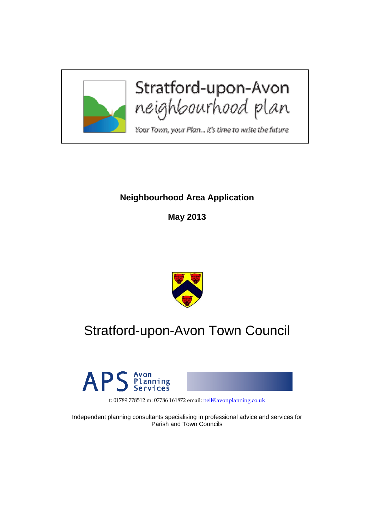

# **Neighbourhood Area Application**

**May 2013** 



# Stratford-upon-Avon Town Council



t: 01789 778512 m: 07786 161872 email: neil@avonplanning.co.uk

Independent planning consultants specialising in professional advice and services for Parish and Town Councils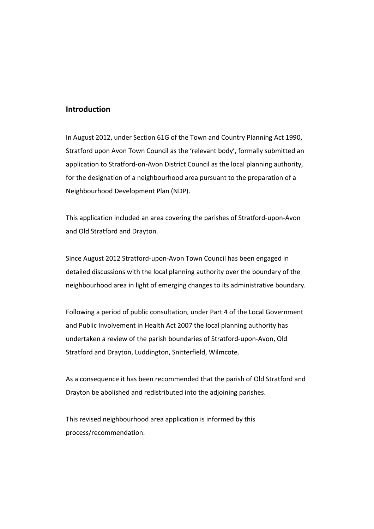### **Introduction**

In August 2012, under Section 61G of the Town and Country Planning Act 1990, Stratford upon Avon Town Council as the 'relevant body', formally submitted an application to Stratford-on-Avon District Council as the local planning authority, for the designation of a neighbourhood area pursuant to the preparation of a Neighbourhood Development Plan (NDP).

This application included an area covering the parishes of Stratford‐upon‐Avon and Old Stratford and Drayton.

Since August 2012 Stratford‐upon‐Avon Town Council has been engaged in detailed discussions with the local planning authority over the boundary of the neighbourhood area in light of emerging changes to its administrative boundary.

Following a period of public consultation, under Part 4 of the Local Government and Public Involvement in Health Act 2007 the local planning authority has undertaken a review of the parish boundaries of Stratford‐upon‐Avon, Old Stratford and Drayton, Luddington, Snitterfield, Wilmcote.

As a consequence it has been recommended that the parish of Old Stratford and Drayton be abolished and redistributed into the adjoining parishes.

This revised neighbourhood area application is informed by this process/recommendation.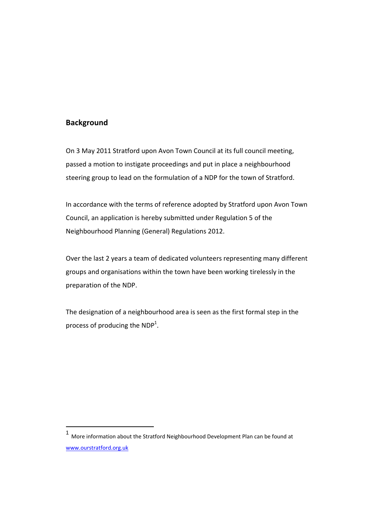## **Background**

l

On 3 May 2011 Stratford upon Avon Town Council at its full council meeting, passed a motion to instigate proceedings and put in place a neighbourhood steering group to lead on the formulation of a NDP for the town of Stratford.

In accordance with the terms of reference adopted by Stratford upon Avon Town Council, an application is hereby submitted under Regulation 5 of the Neighbourhood Planning (General) Regulations 2012.

Over the last 2 years a team of dedicated volunteers representing many different groups and organisations within the town have been working tirelessly in the preparation of the NDP.

The designation of a neighbourhood area is seen as the first formal step in the process of producing the  $NDP<sup>1</sup>$ .

<sup>1</sup> More information about the Stratford Neighbourhood Development Plan can be found at www.ourstratford.org.uk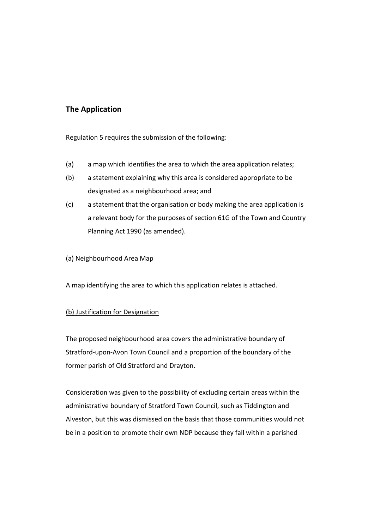# **The Application**

Regulation 5 requires the submission of the following:

- (a) a map which identifies the area to which the area application relates;
- (b) a statement explaining why this area is considered appropriate to be designated as a neighbourhood area; and
- (c) a statement that the organisation or body making the area application is a relevant body for the purposes of section 61G of the Town and Country Planning Act 1990 (as amended).

#### (a) Neighbourhood Area Map

A map identifying the area to which this application relates is attached.

### (b) Justification for Designation

The proposed neighbourhood area covers the administrative boundary of Stratford‐upon‐Avon Town Council and a proportion of the boundary of the former parish of Old Stratford and Drayton.

Consideration was given to the possibility of excluding certain areas within the administrative boundary of Stratford Town Council, such as Tiddington and Alveston, but this was dismissed on the basis that those communities would not be in a position to promote their own NDP because they fall within a parished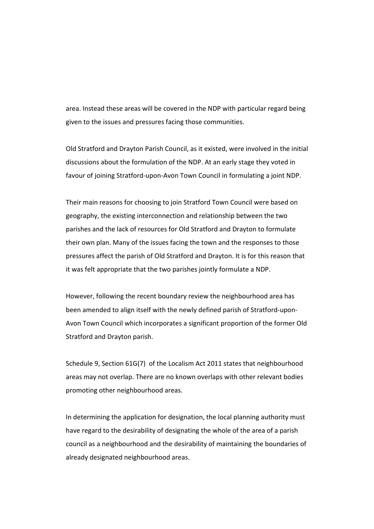area. Instead these areas will be covered in the NDP with particular regard being given to the issues and pressures facing those communities.

Old Stratford and Drayton Parish Council, as it existed, were involved in the initial discussions about the formulation of the NDP. At an early stage they voted in favour of joining Stratford‐upon‐Avon Town Council in formulating a joint NDP.

Their main reasons for choosing to join Stratford Town Council were based on geography, the existing interconnection and relationship between the two parishes and the lack of resources for Old Stratford and Drayton to formulate their own plan. Many of the issues facing the town and the responses to those pressures affect the parish of Old Stratford and Drayton. It is for this reason that it was felt appropriate that the two parishes jointly formulate a NDP.

However, following the recent boundary review the neighbourhood area has been amended to align itself with the newly defined parish of Stratford‐upon‐ Avon Town Council which incorporates a significant proportion of the former Old Stratford and Drayton parish.

Schedule 9, Section 61G(7) of the Localism Act 2011 states that neighbourhood areas may not overlap. There are no known overlaps with other relevant bodies promoting other neighbourhood areas.

In determining the application for designation, the local planning authority must have regard to the desirability of designating the whole of the area of a parish council as a neighbourhood and the desirability of maintaining the boundaries of already designated neighbourhood areas.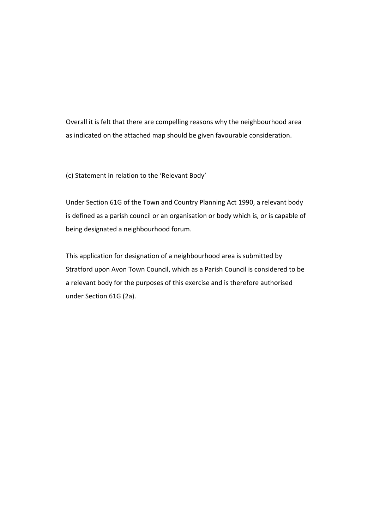Overall it is felt that there are compelling reasons why the neighbourhood area as indicated on the attached map should be given favourable consideration.

#### (c) Statement in relation to the 'Relevant Body'

Under Section 61G of the Town and Country Planning Act 1990, a relevant body is defined as a parish council or an organisation or body which is, or is capable of being designated a neighbourhood forum.

This application for designation of a neighbourhood area is submitted by Stratford upon Avon Town Council, which as a Parish Council is considered to be a relevant body for the purposes of this exercise and is therefore authorised under Section 61G (2a).